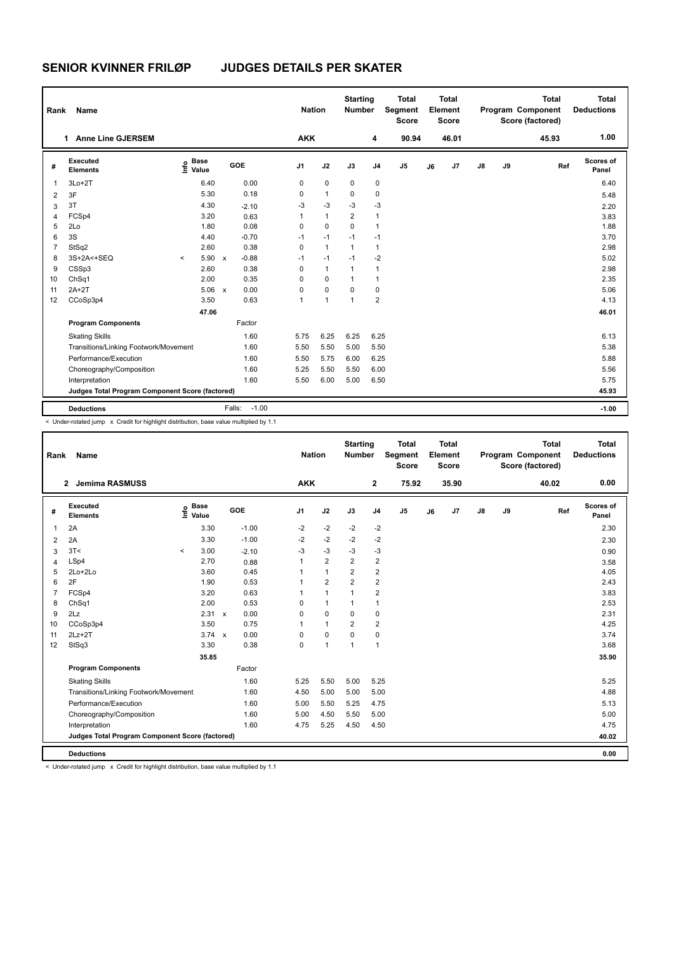## **SENIOR KVINNER FRILØP JUDGES DETAILS PER SKATER**

| Rank           | <b>Name</b>                                     |         |                      |                         |         | <b>Nation</b>  |              | <b>Starting</b><br><b>Number</b> |                         | <b>Total</b><br>Segment<br><b>Score</b> |    | <b>Total</b><br>Element<br><b>Score</b> |    |    | <b>Total</b><br>Program Component<br>Score (factored) | <b>Total</b><br><b>Deductions</b> |
|----------------|-------------------------------------------------|---------|----------------------|-------------------------|---------|----------------|--------------|----------------------------------|-------------------------|-----------------------------------------|----|-----------------------------------------|----|----|-------------------------------------------------------|-----------------------------------|
|                | <b>Anne Line GJERSEM</b><br>1                   |         |                      |                         |         | <b>AKK</b>     |              |                                  | 4                       | 90.94                                   |    | 46.01                                   |    |    | 45.93                                                 | 1.00                              |
| #              | Executed<br><b>Elements</b>                     | ۴ů      | <b>Base</b><br>Value | GOE                     |         | J <sub>1</sub> | J2           | J3                               | J <sub>4</sub>          | J <sub>5</sub>                          | J6 | J7                                      | J8 | J9 | Ref                                                   | Scores of<br>Panel                |
| $\mathbf 1$    | $3Lo+2T$                                        |         | 6.40                 |                         | 0.00    | 0              | $\mathbf 0$  | $\mathbf 0$                      | $\mathbf 0$             |                                         |    |                                         |    |    |                                                       | 6.40                              |
| $\overline{2}$ | 3F                                              |         | 5.30                 |                         | 0.18    | 0              | $\mathbf{1}$ | $\Omega$                         | $\mathbf 0$             |                                         |    |                                         |    |    |                                                       | 5.48                              |
| 3              | 3T                                              |         | 4.30                 | $-2.10$                 |         | -3             | $-3$         | $-3$                             | -3                      |                                         |    |                                         |    |    |                                                       | 2.20                              |
| $\overline{4}$ | FCSp4                                           |         | 3.20                 |                         | 0.63    | 1              | $\mathbf{1}$ | $\overline{2}$                   | $\mathbf{1}$            |                                         |    |                                         |    |    |                                                       | 3.83                              |
| 5              | 2Lo                                             |         | 1.80                 |                         | 0.08    | 0              | $\Omega$     | $\Omega$                         | $\mathbf{1}$            |                                         |    |                                         |    |    |                                                       | 1.88                              |
| 6              | 3S                                              |         | 4.40                 | $-0.70$                 |         | $-1$           | $-1$         | $-1$                             | $-1$                    |                                         |    |                                         |    |    |                                                       | 3.70                              |
| $\overline{7}$ | StSq2                                           |         | 2.60                 |                         | 0.38    | 0              | $\mathbf{1}$ | $\mathbf{1}$                     | $\mathbf{1}$            |                                         |    |                                         |    |    |                                                       | 2.98                              |
| 8              | 3S+2A<+SEQ                                      | $\prec$ | 5.90                 | $-0.88$<br>$\mathsf{x}$ |         | $-1$           | $-1$         | $-1$                             | $-2$                    |                                         |    |                                         |    |    |                                                       | 5.02                              |
| 9              | CSSp3                                           |         | 2.60                 |                         | 0.38    | 0              | $\mathbf{1}$ | $\mathbf{1}$                     | $\mathbf{1}$            |                                         |    |                                         |    |    |                                                       | 2.98                              |
| 10             | ChSq1                                           |         | 2.00                 |                         | 0.35    | 0              | $\Omega$     | $\mathbf{1}$                     | $\mathbf{1}$            |                                         |    |                                         |    |    |                                                       | 2.35                              |
| 11             | $2A+2T$                                         |         | 5.06                 | $\mathbf{x}$            | 0.00    | 0              | $\Omega$     | $\Omega$                         | $\mathbf 0$             |                                         |    |                                         |    |    |                                                       | 5.06                              |
| 12             | CCoSp3p4                                        |         | 3.50                 |                         | 0.63    | 1              | 1            | $\mathbf{1}$                     | $\overline{\mathbf{c}}$ |                                         |    |                                         |    |    |                                                       | 4.13                              |
|                |                                                 |         | 47.06                |                         |         |                |              |                                  |                         |                                         |    |                                         |    |    |                                                       | 46.01                             |
|                | <b>Program Components</b>                       |         |                      | Factor                  |         |                |              |                                  |                         |                                         |    |                                         |    |    |                                                       |                                   |
|                | <b>Skating Skills</b>                           |         |                      |                         | 1.60    | 5.75           | 6.25         | 6.25                             | 6.25                    |                                         |    |                                         |    |    |                                                       | 6.13                              |
|                | Transitions/Linking Footwork/Movement           |         |                      |                         | 1.60    | 5.50           | 5.50         | 5.00                             | 5.50                    |                                         |    |                                         |    |    |                                                       | 5.38                              |
|                | Performance/Execution                           |         |                      |                         | 1.60    | 5.50           | 5.75         | 6.00                             | 6.25                    |                                         |    |                                         |    |    |                                                       | 5.88                              |
|                | Choreography/Composition                        |         |                      |                         | 1.60    | 5.25           | 5.50         | 5.50                             | 6.00                    |                                         |    |                                         |    |    |                                                       | 5.56                              |
|                | Interpretation                                  |         |                      |                         | 1.60    | 5.50           | 6.00         | 5.00                             | 6.50                    |                                         |    |                                         |    |    |                                                       | 5.75                              |
|                | Judges Total Program Component Score (factored) |         |                      |                         |         |                |              |                                  |                         |                                         |    |                                         |    |    |                                                       | 45.93                             |
|                | <b>Deductions</b>                               |         |                      | Falls:                  | $-1.00$ |                |              |                                  |                         |                                         |    |                                         |    |    |                                                       | $-1.00$                           |

< Under-rotated jump x Credit for highlight distribution, base value multiplied by 1.1

| Name<br>Rank   |                                                 |         |                                  |  |         |                | <b>Nation</b> |                | <b>Starting</b><br><b>Number</b> |                         | <b>Total</b><br>Segment<br><b>Score</b> |    | Total<br>Element<br><b>Score</b> |  |    |    | <b>Total</b><br>Program Component<br>Score (factored) |     | Total<br><b>Deductions</b> |
|----------------|-------------------------------------------------|---------|----------------------------------|--|---------|----------------|---------------|----------------|----------------------------------|-------------------------|-----------------------------------------|----|----------------------------------|--|----|----|-------------------------------------------------------|-----|----------------------------|
|                | Jemima RASMUSS<br>$\mathbf{2}$                  |         |                                  |  |         |                | <b>AKK</b>    |                |                                  | $\mathbf{2}$            | 75.92                                   |    | 35.90                            |  |    |    | 40.02                                                 |     | 0.00                       |
| #              | Executed<br><b>Elements</b>                     |         | <b>Base</b><br>e Base<br>E Value |  | GOE     | J <sub>1</sub> |               | J2             | J3                               | J <sub>4</sub>          | J <sub>5</sub>                          | J6 | J7                               |  | J8 | J9 |                                                       | Ref | Scores of<br>Panel         |
| 1              | 2A                                              |         | 3.30                             |  | $-1.00$ | $-2$           |               | $-2$           | $-2$                             | $-2$                    |                                         |    |                                  |  |    |    |                                                       |     | 2.30                       |
| 2              | 2A                                              |         | 3.30                             |  | $-1.00$ | $-2$           |               | $-2$           | $-2$                             | $-2$                    |                                         |    |                                  |  |    |    |                                                       |     | 2.30                       |
| 3              | 3T<                                             | $\prec$ | 3.00                             |  | $-2.10$ | $-3$           |               | $-3$           | $-3$                             | $-3$                    |                                         |    |                                  |  |    |    |                                                       |     | 0.90                       |
| 4              | LSp4                                            |         | 2.70                             |  | 0.88    | 1              |               | $\overline{2}$ | $\overline{2}$                   | $\overline{\mathbf{c}}$ |                                         |    |                                  |  |    |    |                                                       |     | 3.58                       |
| 5              | $2Lo+2Lo$                                       |         | 3.60                             |  | 0.45    | 1              |               | $\mathbf{1}$   | $\overline{2}$                   | $\overline{2}$          |                                         |    |                                  |  |    |    |                                                       |     | 4.05                       |
| 6              | 2F                                              |         | 1.90                             |  | 0.53    | 1              |               | $\overline{2}$ | $\overline{2}$                   | $\overline{2}$          |                                         |    |                                  |  |    |    |                                                       |     | 2.43                       |
| $\overline{7}$ | FCSp4                                           |         | 3.20                             |  | 0.63    | $\mathbf 1$    |               | $\mathbf{1}$   | 1                                | $\overline{2}$          |                                         |    |                                  |  |    |    |                                                       |     | 3.83                       |
| 8              | ChSq1                                           |         | 2.00                             |  | 0.53    | 0              |               | $\mathbf{1}$   | 1                                | $\mathbf{1}$            |                                         |    |                                  |  |    |    |                                                       |     | 2.53                       |
| 9              | 2Lz                                             |         | $2.31 \times$                    |  | 0.00    | $\Omega$       |               | $\Omega$       | $\Omega$                         | 0                       |                                         |    |                                  |  |    |    |                                                       |     | 2.31                       |
| 10             | CCoSp3p4                                        |         | 3.50                             |  | 0.75    | $\mathbf{1}$   |               | $\mathbf{1}$   | $\overline{2}$                   | $\overline{2}$          |                                         |    |                                  |  |    |    |                                                       |     | 4.25                       |
| 11             | $2Lz+2T$                                        |         | $3.74 \times$                    |  | 0.00    | 0              |               | 0              | $\mathbf 0$                      | 0                       |                                         |    |                                  |  |    |    |                                                       |     | 3.74                       |
| 12             | StSq3                                           |         | 3.30                             |  | 0.38    | $\Omega$       |               | $\overline{1}$ | $\mathbf{1}$                     | $\mathbf{1}$            |                                         |    |                                  |  |    |    |                                                       |     | 3.68                       |
|                |                                                 |         | 35.85                            |  |         |                |               |                |                                  |                         |                                         |    |                                  |  |    |    |                                                       |     | 35.90                      |
|                | <b>Program Components</b>                       |         |                                  |  | Factor  |                |               |                |                                  |                         |                                         |    |                                  |  |    |    |                                                       |     |                            |
|                | <b>Skating Skills</b>                           |         |                                  |  | 1.60    | 5.25           |               | 5.50           | 5.00                             | 5.25                    |                                         |    |                                  |  |    |    |                                                       |     | 5.25                       |
|                | Transitions/Linking Footwork/Movement           |         |                                  |  | 1.60    | 4.50           |               | 5.00           | 5.00                             | 5.00                    |                                         |    |                                  |  |    |    |                                                       |     | 4.88                       |
|                | Performance/Execution                           |         |                                  |  | 1.60    | 5.00           |               | 5.50           | 5.25                             | 4.75                    |                                         |    |                                  |  |    |    |                                                       |     | 5.13                       |
|                | Choreography/Composition                        |         |                                  |  | 1.60    | 5.00           |               | 4.50           | 5.50                             | 5.00                    |                                         |    |                                  |  |    |    |                                                       |     | 5.00                       |
|                | Interpretation                                  |         |                                  |  | 1.60    | 4.75           |               | 5.25           | 4.50                             | 4.50                    |                                         |    |                                  |  |    |    |                                                       |     | 4.75                       |
|                | Judges Total Program Component Score (factored) |         |                                  |  |         |                |               |                |                                  |                         |                                         |    |                                  |  |    |    |                                                       |     | 40.02                      |
|                | <b>Deductions</b>                               |         |                                  |  |         |                |               |                |                                  |                         |                                         |    |                                  |  |    |    |                                                       |     | 0.00                       |

-<br>< Under-rotated jump x Credit for highlight distribution, base value multiplied by 1.1